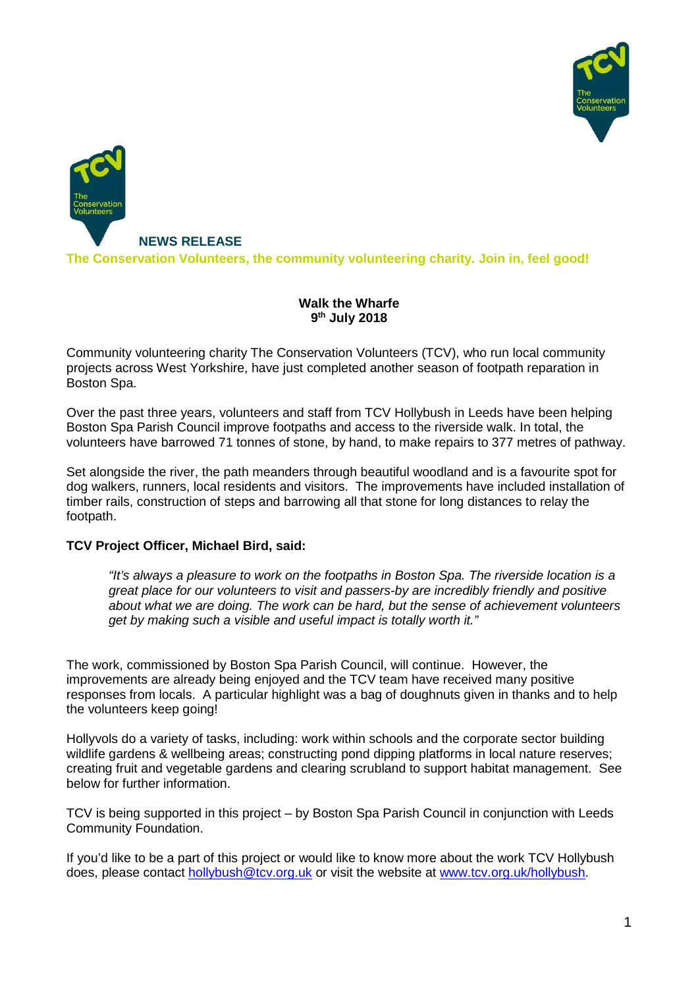



#### **Walk the Wharfe 9 th July 2018**

Community volunteering charity The Conservation Volunteers (TCV), who run local community projects across West Yorkshire, have just completed another season of footpath reparation in Boston Spa.

Over the past three years, volunteers and staff from TCV Hollybush in Leeds have been helping Boston Spa Parish Council improve footpaths and access to the riverside walk. In total, the volunteers have barrowed 71 tonnes of stone, by hand, to make repairs to 377 metres of pathway.

Set alongside the river, the path meanders through beautiful woodland and is a favourite spot for dog walkers, runners, local residents and visitors. The improvements have included installation of timber rails, construction of steps and barrowing all that stone for long distances to relay the footpath.

#### **TCV Project Officer, Michael Bird, said:**

"It's always a pleasure to work on the footpaths in Boston Spa. The riverside location is a great place for our volunteers to visit and passers-by are incredibly friendly and positive about what we are doing. The work can be hard, but the sense of achievement volunteers get by making such a visible and useful impact is totally worth it."

The work, commissioned by Boston Spa Parish Council, will continue. However, the improvements are already being enjoyed and the TCV team have received many positive responses from locals. A particular highlight was a bag of doughnuts given in thanks and to help the volunteers keep going!

Hollyvols do a variety of tasks, including: work within schools and the corporate sector building wildlife gardens & wellbeing areas; constructing pond dipping platforms in local nature reserves; creating fruit and vegetable gardens and clearing scrubland to support habitat management. See below for further information.

TCV is being supported in this project – by Boston Spa Parish Council in conjunction with Leeds Community Foundation.

If you'd like to be a part of this project or would like to know more about the work TCV Hollybush does, please contact hollybush@tcv.org.uk or visit the website at www.tcv.org.uk/hollybush.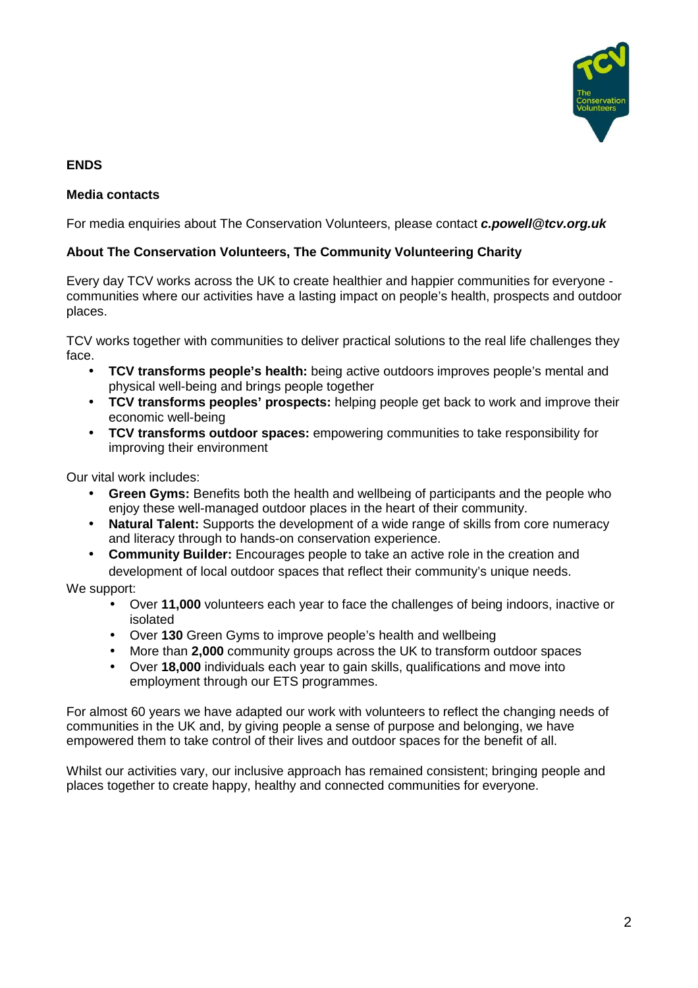

## **ENDS**

### **Media contacts**

For media enquiries about The Conservation Volunteers, please contact **c.powell@tcv.org.uk** 

### **About The Conservation Volunteers, The Community Volunteering Charity**

Every day TCV works across the UK to create healthier and happier communities for everyone communities where our activities have a lasting impact on people's health, prospects and outdoor places.

TCV works together with communities to deliver practical solutions to the real life challenges they face.

- **TCV transforms people's health:** being active outdoors improves people's mental and physical well-being and brings people together
- **TCV transforms peoples' prospects:** helping people get back to work and improve their economic well-being
- **TCV transforms outdoor spaces:** empowering communities to take responsibility for improving their environment

Our vital work includes:

- **Green Gyms:** Benefits both the health and wellbeing of participants and the people who enjoy these well-managed outdoor places in the heart of their community.
- **Natural Talent:** Supports the development of a wide range of skills from core numeracy and literacy through to hands-on conservation experience.
- **Community Builder:** Encourages people to take an active role in the creation and development of local outdoor spaces that reflect their community's unique needs.

We support:

- Over **11,000** volunteers each year to face the challenges of being indoors, inactive or isolated
- Over **130** Green Gyms to improve people's health and wellbeing
- More than **2,000** community groups across the UK to transform outdoor spaces
- Over **18,000** individuals each year to gain skills, qualifications and move into employment through our ETS programmes.

For almost 60 years we have adapted our work with volunteers to reflect the changing needs of communities in the UK and, by giving people a sense of purpose and belonging, we have empowered them to take control of their lives and outdoor spaces for the benefit of all.

Whilst our activities vary, our inclusive approach has remained consistent; bringing people and places together to create happy, healthy and connected communities for everyone.